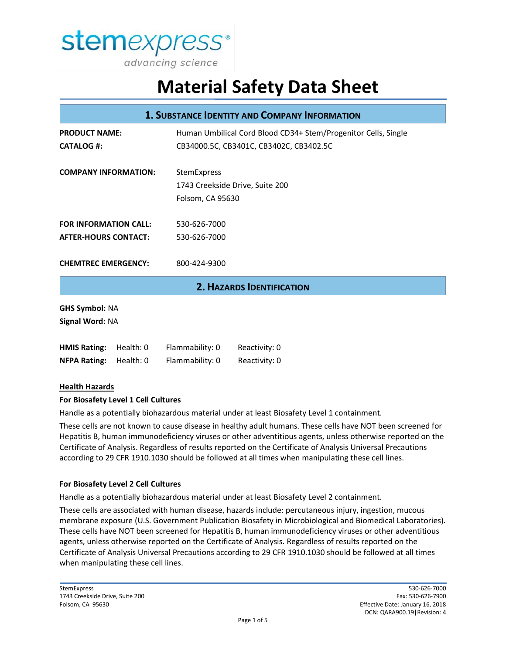

| <b>1. SUBSTANCE IDENTITY AND COMPANY INFORMATION</b> |           |                                                                                                           |                                  |
|------------------------------------------------------|-----------|-----------------------------------------------------------------------------------------------------------|----------------------------------|
| <b>PRODUCT NAME:</b><br><b>CATALOG #:</b>            |           | Human Umbilical Cord Blood CD34+ Stem/Progenitor Cells, Single<br>CB34000.5C, CB3401C, CB3402C, CB3402.5C |                                  |
| <b>COMPANY INFORMATION:</b>                          |           | StemExpress<br>1743 Creekside Drive, Suite 200<br>Folsom, CA 95630                                        |                                  |
| <b>FOR INFORMATION CALL:</b>                         |           | 530-626-7000                                                                                              |                                  |
| <b>AFTER-HOURS CONTACT:</b>                          |           | 530-626-7000                                                                                              |                                  |
| <b>CHEMTREC EMERGENCY:</b>                           |           | 800-424-9300                                                                                              |                                  |
|                                                      |           |                                                                                                           | <b>2. HAZARDS IDENTIFICATION</b> |
| <b>GHS Symbol: NA</b><br>Signal Word: NA             |           |                                                                                                           |                                  |
| <b>HMIS Rating:</b>                                  | Health: 0 | Flammability: 0                                                                                           | Reactivity: 0                    |
| <b>NFPA Rating:</b>                                  | Health: 0 | Flammability: 0                                                                                           | Reactivity: 0                    |
| .                                                    |           |                                                                                                           |                                  |

#### **Health Hazards**

#### **For Biosafety Level 1 Cell Cultures**

Handle as a potentially biohazardous material under at least Biosafety Level 1 containment.

These cells are not known to cause disease in healthy adult humans. These cells have NOT been screened for Hepatitis B, human immunodeficiency viruses or other adventitious agents, unless otherwise reported on the Certificate of Analysis. Regardless of results reported on the Certificate of Analysis Universal Precautions according to 29 CFR 1910.1030 should be followed at all times when manipulating these cell lines.

#### **For Biosafety Level 2 Cell Cultures**

Handle as a potentially biohazardous material under at least Biosafety Level 2 containment.

These cells are associated with human disease, hazards include: percutaneous injury, ingestion, mucous membrane exposure (U.S. Government Publication Biosafety in Microbiological and Biomedical Laboratories). These cells have NOT been screened for Hepatitis B, human immunodeficiency viruses or other adventitious agents, unless otherwise reported on the Certificate of Analysis. Regardless of results reported on the Certificate of Analysis Universal Precautions according to 29 CFR 1910.1030 should be followed at all times when manipulating these cell lines.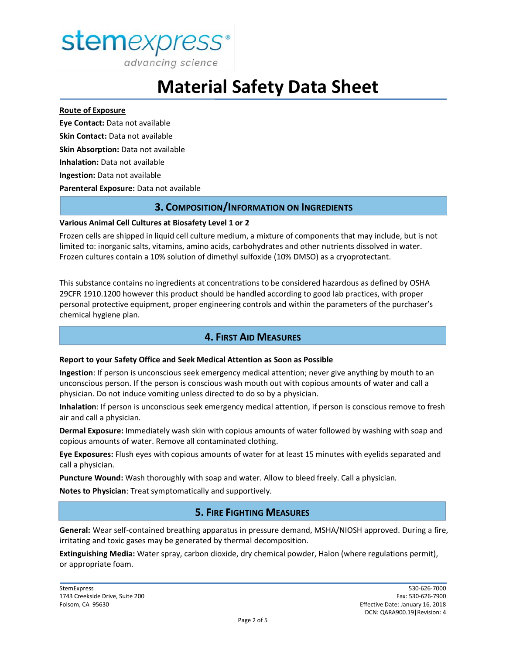

advancing science

# **Material Safety Data Sheet**

#### **Route of Exposure**

**Eye Contact:** Data not available **Skin Contact:** Data not available **Skin Absorption:** Data not available **Inhalation:** Data not available **Ingestion:** Data not available **Parenteral Exposure:** Data not available

### **3. COMPOSITION/INFORMATION ON INGREDIENTS**

#### **Various Animal Cell Cultures at Biosafety Level 1 or 2**

Frozen cells are shipped in liquid cell culture medium, a mixture of components that may include, but is not limited to: inorganic salts, vitamins, amino acids, carbohydrates and other nutrients dissolved in water. Frozen cultures contain a 10% solution of dimethyl sulfoxide (10% DMSO) as a cryoprotectant.

This substance contains no ingredients at concentrations to be considered hazardous as defined by OSHA 29CFR 1910.1200 however this product should be handled according to good lab practices, with proper personal protective equipment, proper engineering controls and within the parameters of the purchaser's chemical hygiene plan.

# **4. FIRST AID MEASURES**

#### **Report to your Safety Office and Seek Medical Attention as Soon as Possible**

**Ingestion**: If person is unconscious seek emergency medical attention; never give anything by mouth to an unconscious person. If the person is conscious wash mouth out with copious amounts of water and call a physician. Do not induce vomiting unless directed to do so by a physician.

**Inhalation**: If person is unconscious seek emergency medical attention, if person is conscious remove to fresh air and call a physician.

**Dermal Exposure:** Immediately wash skin with copious amounts of water followed by washing with soap and copious amounts of water. Remove all contaminated clothing.

**Eye Exposures:** Flush eyes with copious amounts of water for at least 15 minutes with eyelids separated and call a physician.

**Puncture Wound:** Wash thoroughly with soap and water. Allow to bleed freely. Call a physician.

**Notes to Physician**: Treat symptomatically and supportively.

# **5. FIRE FIGHTING MEASURES**

**General:** Wear self-contained breathing apparatus in pressure demand, MSHA/NIOSH approved. During a fire, irritating and toxic gases may be generated by thermal decomposition.

**Extinguishing Media:** Water spray, carbon dioxide, dry chemical powder, Halon (where regulations permit), or appropriate foam.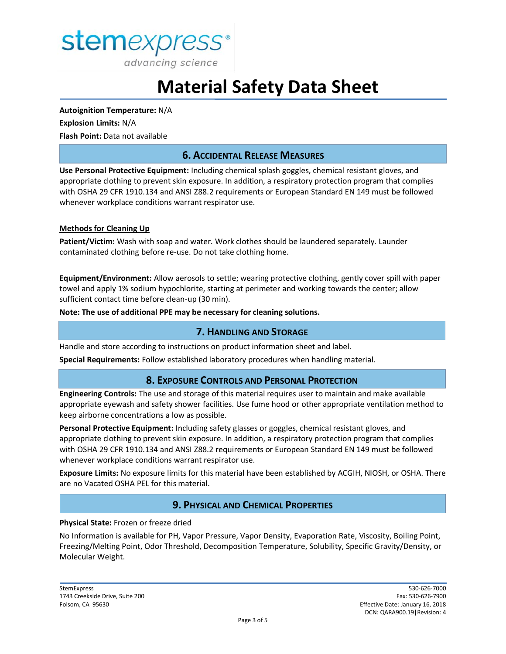

**Autoignition Temperature:** N/A **Explosion Limits:** N/A **Flash Point:** Data not available

## **6. ACCIDENTAL RELEASE MEASURES**

**Use Personal Protective Equipment:** Including chemical splash goggles, chemical resistant gloves, and appropriate clothing to prevent skin exposure. In addition, a respiratory protection program that complies with OSHA 29 CFR 1910.134 and ANSI Z88.2 requirements or European Standard EN 149 must be followed whenever workplace conditions warrant respirator use.

#### **Methods for Cleaning Up**

**Patient/Victim:** Wash with soap and water. Work clothes should be laundered separately. Launder contaminated clothing before re-use. Do not take clothing home.

**Equipment/Environment:** Allow aerosols to settle; wearing protective clothing, gently cover spill with paper towel and apply 1% sodium hypochlorite, starting at perimeter and working towards the center; allow sufficient contact time before clean-up (30 min).

**Note: The use of additional PPE may be necessary for cleaning solutions.**

#### **7. HANDLING AND STORAGE**

Handle and store according to instructions on product information sheet and label.

**Special Requirements:** Follow established laboratory procedures when handling material.

#### **8. EXPOSURE CONTROLS AND PERSONAL PROTECTION**

**Engineering Controls:** The use and storage of this material requires user to maintain and make available appropriate eyewash and safety shower facilities. Use fume hood or other appropriate ventilation method to keep airborne concentrations a low as possible.

**Personal Protective Equipment:** Including safety glasses or goggles, chemical resistant gloves, and appropriate clothing to prevent skin exposure. In addition, a respiratory protection program that complies with OSHA 29 CFR 1910.134 and ANSI Z88.2 requirements or European Standard EN 149 must be followed whenever workplace conditions warrant respirator use.

**Exposure Limits:** No exposure limits for this material have been established by ACGIH, NIOSH, or OSHA. There are no Vacated OSHA PEL for this material.

#### **9. PHYSICAL AND CHEMICAL PROPERTIES**

#### **Physical State:** Frozen or freeze dried

No Information is available for PH, Vapor Pressure, Vapor Density, Evaporation Rate, Viscosity, Boiling Point, Freezing/Melting Point, Odor Threshold, Decomposition Temperature, Solubility, Specific Gravity/Density, or Molecular Weight.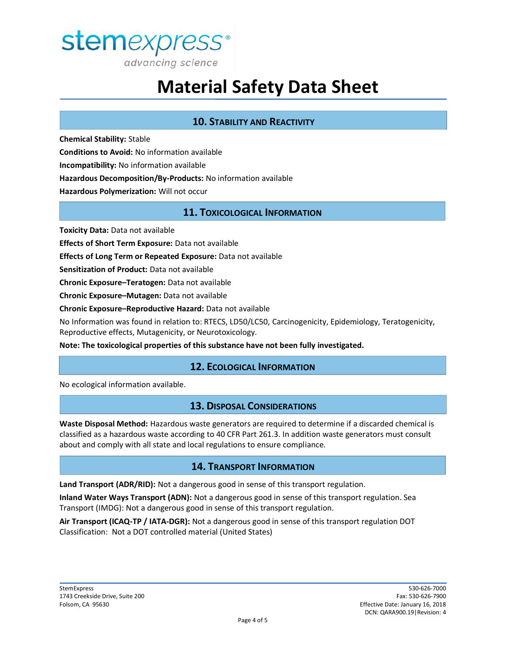

## **10. STABILITY AND REACTIVITY**

**Chemical Stability:** Stable **Conditions to Avoid:** No information available **Incompatibility:** No information available **Hazardous Decomposition/By-Products:** No information available **Hazardous Polymerization:** Will not occur

## **11. TOXICOLOGICAL INFORMATION**

**Toxicity Data:** Data not available

**Effects of Short Term Exposure:** Data not available

**Effects of Long Term or Repeated Exposure:** Data not available

**Sensitization of Product:** Data not available

**Chronic Exposure–Teratogen:** Data not available

**Chronic Exposure–Mutagen:** Data not available

**Chronic Exposure–Reproductive Hazard:** Data not available

No Information was found in relation to: RTECS, LD50/LC50, Carcinogenicity, Epidemiology, Teratogenicity, Reproductive effects, Mutagenicity, or Neurotoxicology.

**Note: The toxicological properties of this substance have not been fully investigated.**

## **12. ECOLOGICAL INFORMATION**

No ecological information available.

## **13. DISPOSAL CONSIDERATIONS**

**Waste Disposal Method:** Hazardous waste generators are required to determine if a discarded chemical is classified as a hazardous waste according to 40 CFR Part 261.3. In addition waste generators must consult about and comply with all state and local regulations to ensure compliance.

## **14. TRANSPORT INFORMATION**

**Land Transport (ADR/RID):** Not a dangerous good in sense of this transport regulation.

**Inland Water Ways Transport (ADN):** Not a dangerous good in sense of this transport regulation. Sea Transport (IMDG): Not a dangerous good in sense of this transport regulation.

**Air Transport (ICAQ-TP / IATA-DGR):** Not a dangerous good in sense of this transport regulation DOT Classification: Not a DOT controlled material (United States)